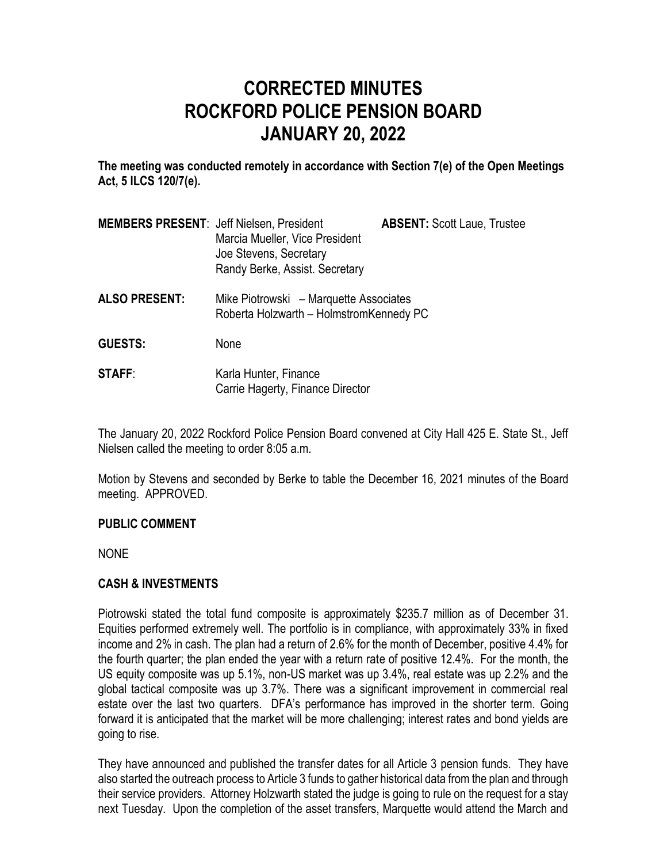# **CORRECTED MINUTES ROCKFORD POLICE PENSION BOARD JANUARY 20, 2022**

**The meeting was conducted remotely in accordance with Section 7(e) of the Open Meetings Act, 5 ILCS 120/7(e).**

| <b>MEMBERS PRESENT: Jeff Nielsen, President</b> | Marcia Mueller, Vice President<br>Joe Stevens, Secretary<br>Randy Berke, Assist. Secretary | <b>ABSENT: Scott Laue, Trustee</b> |
|-------------------------------------------------|--------------------------------------------------------------------------------------------|------------------------------------|
| <b>ALSO PRESENT:</b>                            | Mike Piotrowski – Marquette Associates<br>Roberta Holzwarth - HolmstromKennedy PC          |                                    |
| <b>GUESTS:</b>                                  | None                                                                                       |                                    |
| <b>STAFF:</b>                                   | Karla Hunter, Finance<br>Carrie Hagerty, Finance Director                                  |                                    |

The January 20, 2022 Rockford Police Pension Board convened at City Hall 425 E. State St., Jeff Nielsen called the meeting to order 8:05 a.m.

Motion by Stevens and seconded by Berke to table the December 16, 2021 minutes of the Board meeting. APPROVED.

### **PUBLIC COMMENT**

NONE

## **CASH & INVESTMENTS**

Piotrowski stated the total fund composite is approximately \$235.7 million as of December 31. Equities performed extremely well. The portfolio is in compliance, with approximately 33% in fixed income and 2% in cash. The plan had a return of 2.6% for the month of December, positive 4.4% for the fourth quarter; the plan ended the year with a return rate of positive 12.4%. For the month, the US equity composite was up 5.1%, non-US market was up 3.4%, real estate was up 2.2% and the global tactical composite was up 3.7%. There was a significant improvement in commercial real estate over the last two quarters. DFA's performance has improved in the shorter term. Going forward it is anticipated that the market will be more challenging; interest rates and bond yields are going to rise.

They have announced and published the transfer dates for all Article 3 pension funds. They have also started the outreach process to Article 3 funds to gather historical data from the plan and through their service providers. Attorney Holzwarth stated the judge is going to rule on the request for a stay next Tuesday. Upon the completion of the asset transfers, Marquette would attend the March and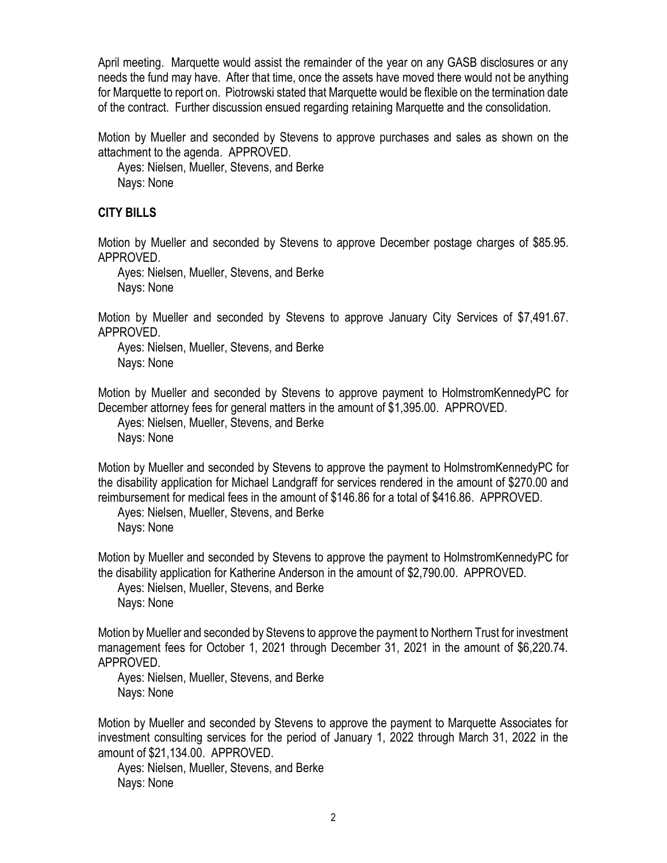April meeting. Marquette would assist the remainder of the year on any GASB disclosures or any needs the fund may have. After that time, once the assets have moved there would not be anything for Marquette to report on. Piotrowski stated that Marquette would be flexible on the termination date of the contract. Further discussion ensued regarding retaining Marquette and the consolidation.

Motion by Mueller and seconded by Stevens to approve purchases and sales as shown on the attachment to the agenda. APPROVED.

Ayes: Nielsen, Mueller, Stevens, and Berke Nays: None

## **CITY BILLS**

Motion by Mueller and seconded by Stevens to approve December postage charges of \$85.95. APPROVED.

Ayes: Nielsen, Mueller, Stevens, and Berke Nays: None

Motion by Mueller and seconded by Stevens to approve January City Services of \$7,491.67. APPROVED.

Ayes: Nielsen, Mueller, Stevens, and Berke Nays: None

Motion by Mueller and seconded by Stevens to approve payment to HolmstromKennedyPC for December attorney fees for general matters in the amount of \$1,395.00. APPROVED.

Ayes: Nielsen, Mueller, Stevens, and Berke Nays: None

Motion by Mueller and seconded by Stevens to approve the payment to HolmstromKennedyPC for the disability application for Michael Landgraff for services rendered in the amount of \$270.00 and reimbursement for medical fees in the amount of \$146.86 for a total of \$416.86. APPROVED.

Ayes: Nielsen, Mueller, Stevens, and Berke Nays: None

Motion by Mueller and seconded by Stevens to approve the payment to HolmstromKennedyPC for the disability application for Katherine Anderson in the amount of \$2,790.00. APPROVED.

Ayes: Nielsen, Mueller, Stevens, and Berke Nays: None

Motion by Mueller and seconded by Stevens to approve the payment to Northern Trust for investment management fees for October 1, 2021 through December 31, 2021 in the amount of \$6,220.74. APPROVED.

Ayes: Nielsen, Mueller, Stevens, and Berke Nays: None

Motion by Mueller and seconded by Stevens to approve the payment to Marquette Associates for investment consulting services for the period of January 1, 2022 through March 31, 2022 in the amount of \$21,134.00. APPROVED.

Ayes: Nielsen, Mueller, Stevens, and Berke Nays: None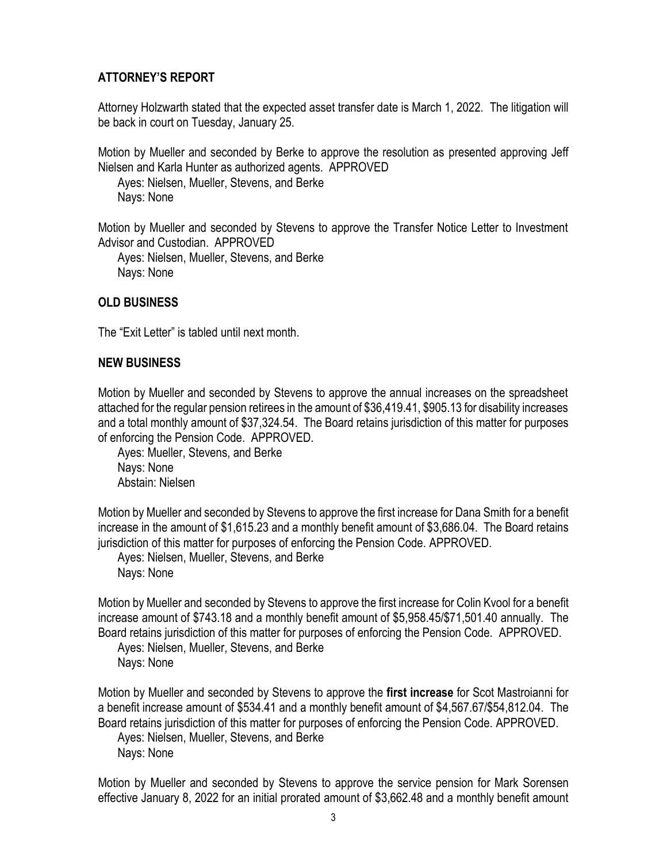# **ATTORNEY'S REPORT**

Attorney Holzwarth stated that the expected asset transfer date is March 1, 2022. The litigation will be back in court on Tuesday, January 25.

Motion by Mueller and seconded by Berke to approve the resolution as presented approving Jeff Nielsen and Karla Hunter as authorized agents. APPROVED

Ayes: Nielsen, Mueller, Stevens, and Berke Nays: None

Motion by Mueller and seconded by Stevens to approve the Transfer Notice Letter to Investment Advisor and Custodian. APPROVED

Ayes: Nielsen, Mueller, Stevens, and Berke Nays: None

## **OLD BUSINESS**

The "Exit Letter" is tabled until next month.

### **NEW BUSINESS**

Motion by Mueller and seconded by Stevens to approve the annual increases on the spreadsheet attached for the regular pension retirees in the amount of \$36,419.41, \$905.13 for disability increases and a total monthly amount of \$37,324.54. The Board retains jurisdiction of this matter for purposes of enforcing the Pension Code. APPROVED.

Ayes: Mueller, Stevens, and Berke Nays: None Abstain: Nielsen

Motion by Mueller and seconded by Stevens to approve the first increase for Dana Smith for a benefit increase in the amount of \$1,615.23 and a monthly benefit amount of \$3,686.04. The Board retains jurisdiction of this matter for purposes of enforcing the Pension Code. APPROVED.

Ayes: Nielsen, Mueller, Stevens, and Berke Nays: None

Motion by Mueller and seconded by Stevens to approve the first increase for Colin Kvool for a benefit increase amount of \$743.18 and a monthly benefit amount of \$5,958.45/\$71,501.40 annually. The Board retains jurisdiction of this matter for purposes of enforcing the Pension Code. APPROVED.

Ayes: Nielsen, Mueller, Stevens, and Berke Nays: None

Motion by Mueller and seconded by Stevens to approve the **first increase** for Scot Mastroianni for a benefit increase amount of \$534.41 and a monthly benefit amount of \$4,567.67/\$54,812.04. The Board retains jurisdiction of this matter for purposes of enforcing the Pension Code. APPROVED.

Ayes: Nielsen, Mueller, Stevens, and Berke Nays: None

Motion by Mueller and seconded by Stevens to approve the service pension for Mark Sorensen effective January 8, 2022 for an initial prorated amount of \$3,662.48 and a monthly benefit amount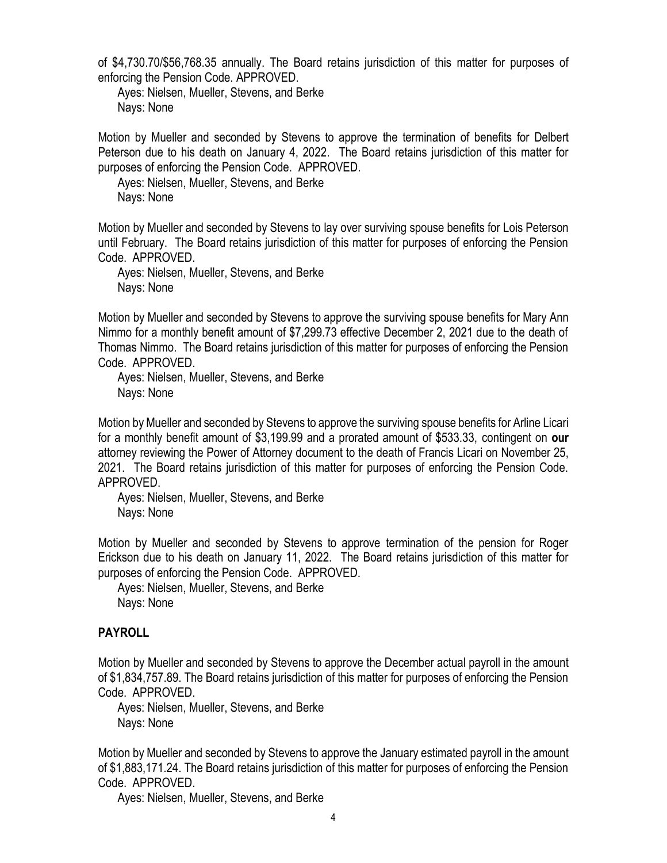of \$4,730.70/\$56,768.35 annually. The Board retains jurisdiction of this matter for purposes of enforcing the Pension Code. APPROVED.

Ayes: Nielsen, Mueller, Stevens, and Berke Nays: None

Motion by Mueller and seconded by Stevens to approve the termination of benefits for Delbert Peterson due to his death on January 4, 2022. The Board retains jurisdiction of this matter for purposes of enforcing the Pension Code. APPROVED.

Ayes: Nielsen, Mueller, Stevens, and Berke Nays: None

Motion by Mueller and seconded by Stevens to lay over surviving spouse benefits for Lois Peterson until February. The Board retains jurisdiction of this matter for purposes of enforcing the Pension Code. APPROVED.

Ayes: Nielsen, Mueller, Stevens, and Berke Nays: None

Motion by Mueller and seconded by Stevens to approve the surviving spouse benefits for Mary Ann Nimmo for a monthly benefit amount of \$7,299.73 effective December 2, 2021 due to the death of Thomas Nimmo. The Board retains jurisdiction of this matter for purposes of enforcing the Pension Code. APPROVED.

Ayes: Nielsen, Mueller, Stevens, and Berke Nays: None

Motion by Mueller and seconded by Stevens to approve the surviving spouse benefits for Arline Licari for a monthly benefit amount of \$3,199.99 and a prorated amount of \$533.33, contingent on **our**  attorney reviewing the Power of Attorney document to the death of Francis Licari on November 25, 2021. The Board retains jurisdiction of this matter for purposes of enforcing the Pension Code. APPROVED.

Ayes: Nielsen, Mueller, Stevens, and Berke Nays: None

Motion by Mueller and seconded by Stevens to approve termination of the pension for Roger Erickson due to his death on January 11, 2022. The Board retains jurisdiction of this matter for purposes of enforcing the Pension Code. APPROVED.

Ayes: Nielsen, Mueller, Stevens, and Berke Nays: None

## **PAYROLL**

Motion by Mueller and seconded by Stevens to approve the December actual payroll in the amount of \$1,834,757.89. The Board retains jurisdiction of this matter for purposes of enforcing the Pension Code. APPROVED.

Ayes: Nielsen, Mueller, Stevens, and Berke Nays: None

Motion by Mueller and seconded by Stevens to approve the January estimated payroll in the amount of \$1,883,171.24. The Board retains jurisdiction of this matter for purposes of enforcing the Pension Code. APPROVED.

Ayes: Nielsen, Mueller, Stevens, and Berke